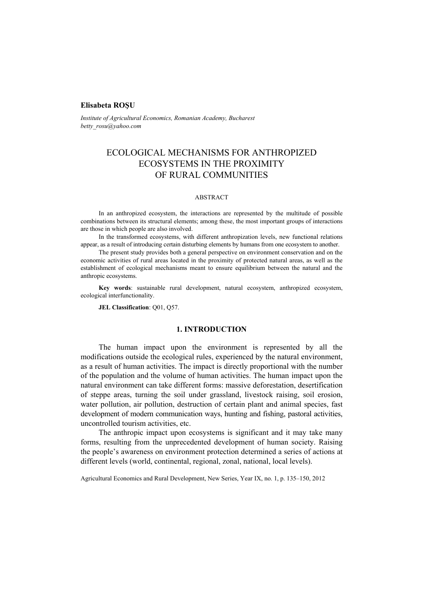## **Elisabeta ROŞU**

*Institute of Agricultural Economics, Romanian Academy, Bucharest betty\_rosu@yahoo.com* 

# ECOLOGICAL MECHANISMS FOR ANTHROPIZED ECOSYSTEMS IN THE PROXIMITY OF RURAL COMMUNITIES

#### ABSTRACT

In an anthropized ecosystem, the interactions are represented by the multitude of possible combinations between its structural elements; among these, the most important groups of interactions are those in which people are also involved.

In the transformed ecosystems, with different anthropization levels, new functional relations appear, as a result of introducing certain disturbing elements by humans from one ecosystem to another.

The present study provides both a general perspective on environment conservation and on the economic activities of rural areas located in the proximity of protected natural areas, as well as the establishment of ecological mechanisms meant to ensure equilibrium between the natural and the anthropic ecosystems.

**Key words**: sustainable rural development, natural ecosystem, anthropized ecosystem, ecological interfunctionality.

**JEL Classification**: Q01, Q57.

## **1. INTRODUCTION**

The human impact upon the environment is represented by all the modifications outside the ecological rules, experienced by the natural environment, as a result of human activities. The impact is directly proportional with the number of the population and the volume of human activities. The human impact upon the natural environment can take different forms: massive deforestation, desertification of steppe areas, turning the soil under grassland, livestock raising, soil erosion, water pollution, air pollution, destruction of certain plant and animal species, fast development of modern communication ways, hunting and fishing, pastoral activities, uncontrolled tourism activities, etc.

The anthropic impact upon ecosystems is significant and it may take many forms, resulting from the unprecedented development of human society. Raising the people's awareness on environment protection determined a series of actions at different levels (world, continental, regional, zonal, national, local levels).

Agricultural Economics and Rural Development, New Series, Year IX, no. 1, p. 135–150, 2012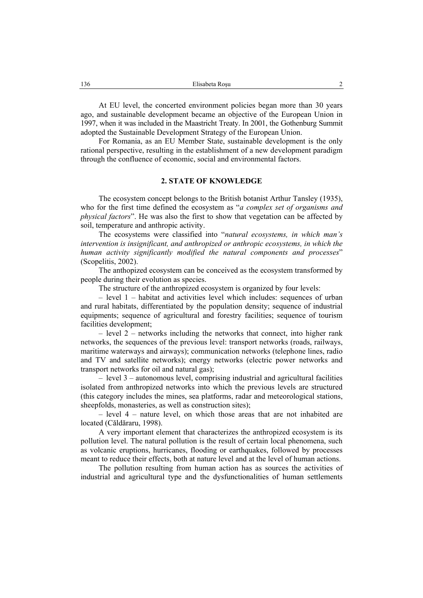At EU level, the concerted environment policies began more than 30 years ago, and sustainable development became an objective of the European Union in 1997, when it was included in the Maastricht Treaty. In 2001, the Gothenburg Summit adopted the Sustainable Development Strategy of the European Union.

For Romania, as an EU Member State, sustainable development is the only rational perspective, resulting in the establishment of a new development paradigm through the confluence of economic, social and environmental factors.

#### **2. STATE OF KNOWLEDGE**

The ecosystem concept belongs to the British botanist Arthur Tansley (1935), who for the first time defined the ecosystem as "*a complex set of organisms and physical factors*". He was also the first to show that vegetation can be affected by soil, temperature and anthropic activity.

The ecosystems were classified into "*natural ecosystems, in which man's intervention is insignificant, and anthropized or anthropic ecosystems, in which the human activity significantly modified the natural components and processes*" (Scopelitis, 2002).

The anthopized ecosystem can be conceived as the ecosystem transformed by people during their evolution as species.

The structure of the anthropized ecosystem is organized by four levels:

– level 1 – habitat and activities level which includes: sequences of urban and rural habitats, differentiated by the population density; sequence of industrial equipments; sequence of agricultural and forestry facilities; sequence of tourism facilities development;

– level 2 – networks including the networks that connect, into higher rank networks, the sequences of the previous level: transport networks (roads, railways, maritime waterways and airways); communication networks (telephone lines, radio and TV and satellite networks); energy networks (electric power networks and transport networks for oil and natural gas);

– level 3 – autonomous level, comprising industrial and agricultural facilities isolated from anthropized networks into which the previous levels are structured (this category includes the mines, sea platforms, radar and meteorological stations, sheepfolds, monasteries, as well as construction sites);

– level 4 – nature level, on which those areas that are not inhabited are located (Căldăraru, 1998).

A very important element that characterizes the anthropized ecosystem is its pollution level. The natural pollution is the result of certain local phenomena, such as volcanic eruptions, hurricanes, flooding or earthquakes, followed by processes meant to reduce their effects, both at nature level and at the level of human actions.

The pollution resulting from human action has as sources the activities of industrial and agricultural type and the dysfunctionalities of human settlements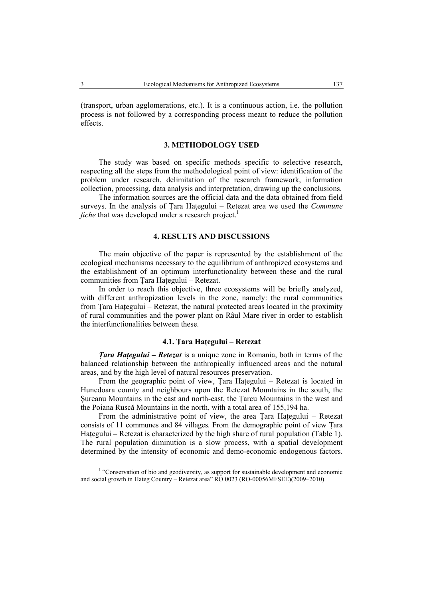(transport, urban agglomerations, etc.). It is a continuous action, i.e. the pollution process is not followed by a corresponding process meant to reduce the pollution effects.

## **3. METHODOLOGY USED**

The study was based on specific methods specific to selective research, respecting all the steps from the methodological point of view: identification of the problem under research, delimitation of the research framework, information collection, processing, data analysis and interpretation, drawing up the conclusions.

The information sources are the official data and the data obtained from field surveys. In the analysis of Ţara Haţegului – Retezat area we used the *Commune fiche* that was developed under a research project.<sup>1</sup>

## **4. RESULTS AND DISCUSSIONS**

The main objective of the paper is represented by the establishment of the ecological mechanisms necessary to the equilibrium of anthropized ecosystems and the establishment of an optimum interfunctionality between these and the rural communities from Ţara Haţegului – Retezat.

In order to reach this objective, three ecosystems will be briefly analyzed, with different anthropization levels in the zone, namely: the rural communities from Tara Hategului – Retezat, the natural protected areas located in the proximity of rural communities and the power plant on Râul Mare river in order to establish the interfunctionalities between these.

## **4.1. Ţara Haţegului – Retezat**

*Ţara Haţegului – Retezat* is a unique zone in Romania, both in terms of the balanced relationship between the anthropically influenced areas and the natural areas, and by the high level of natural resources preservation.

From the geographic point of view, Ţara Haţegului – Retezat is located in Hunedoara county and neighbours upon the Retezat Mountains in the south, the Şureanu Mountains in the east and north-east, the Ţarcu Mountains in the west and the Poiana Ruscă Mountains in the north, with a total area of 155,194 ha.

From the administrative point of view, the area Tara Hategului – Retezat consists of 11 communes and 84 villages. From the demographic point of view Ţara Hategului – Retezat is characterized by the high share of rural population (Table 1). The rural population diminution is a slow process, with a spatial development determined by the intensity of economic and demo-economic endogenous factors.

<sup>1</sup> "Conservation of bio and geodiversity, as support for sustainable development and economic and social growth in Hateg Country – Retezat area"  $\overrightarrow{RO}$  0023 (RO-00056MFSEE)(2009–2010).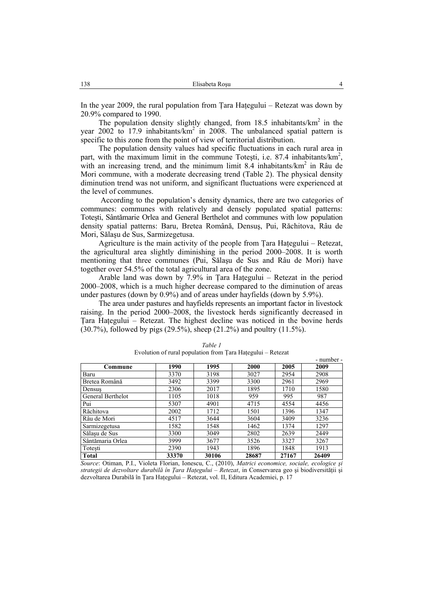In the year 2009, the rural population from Tara Hategului – Retezat was down by 20.9% compared to 1990.

The population density slightly changed, from  $18.5$  inhabitants/ $km<sup>2</sup>$  in the year  $2002$  to 17.9 inhabitants/ $km^2$  in 2008. The unbalanced spatial pattern is specific to this zone from the point of view of territorial distribution.

The population density values had specific fluctuations in each rural area in part, with the maximum limit in the commune Totesti, i.e. 87.4 inhabitants/km<sup>2</sup>, with an increasing trend, and the minimum limit 8.4 inhabitants/km<sup>2</sup> in Râu de Mori commune, with a moderate decreasing trend (Table 2). The physical density diminution trend was not uniform, and significant fluctuations were experienced at the level of communes.

 According to the population's density dynamics, there are two categories of communes: communes with relatively and densely populated spatial patterns: Toteşti, Sântămarie Orlea and General Berthelot and communes with low population density spatial patterns: Baru, Bretea Română, Densuş, Pui, Răchitova, Râu de Mori, Sălaşu de Sus, Sarmizegetusa.

Agriculture is the main activity of the people from Tara Hategului – Retezat, the agricultural area slightly diminishing in the period 2000–2008. It is worth mentioning that three communes (Pui, Sălaşu de Sus and Râu de Mori) have together over 54.5% of the total agricultural area of the zone.

Arable land was down by 7.9% in Ţara Haţegului – Retezat in the period 2000–2008, which is a much higher decrease compared to the diminution of areas under pastures (down by 0.9%) and of areas under hayfields (down by 5.9%).

The area under pastures and hayfields represents an important factor in livestock raising. In the period 2000–2008, the livestock herds significantly decreased in Ţara Haţegului – Retezat. The highest decline was noticed in the bovine herds (30.7%), followed by pigs (29.5%), sheep (21.2%) and poultry (11.5%).

|                   |       |       |       |       | - number - |
|-------------------|-------|-------|-------|-------|------------|
| Commune           | 1990  | 1995  | 2000  | 2005  | 2009       |
| Baru              | 3370  | 3198  | 3027  | 2954  | 2908       |
| Bretea Română     | 3492  | 3399  | 3300  | 2961  | 2969       |
| Densus            | 2306  | 2017  | 1895  | 1710  | 1580       |
| General Berthelot | 1105  | 1018  | 959   | 995   | 987        |
| Pui               | 5307  | 4901  | 4715  | 4554  | 4456       |
| Răchitova         | 2002  | 1712  | 1501  | 1396  | 1347       |
| Râu de Mori       | 4517  | 3644  | 3604  | 3409  | 3236       |
| Sarmizegetusa     | 1582  | 1548  | 1462  | 1374  | 1297       |
| Sălașu de Sus     | 3300  | 3049  | 2802  | 2639  | 2449       |
| Sântămaria Orlea  | 3999  | 3677  | 3526  | 3327  | 3267       |
| Totesti           | 2390  | 1943  | 1896  | 1848  | 1913       |
| <b>Total</b>      | 33370 | 30106 | 28687 | 27167 | 26409      |

*Table 1*  Evolution of rural population from Ţara Haţegului – Retezat

*Source*: Otiman, P.I., Violeta Florian, Ionescu, C., (2010), *Matrici economice, sociale, ecologice şi strategii de dezvoltare durabilă în Ţara Haţegului – Retezat*, in Conservarea geo şi biodiversităţii şi dezvoltarea Durabilă în Ţara Haţegului – Retezat, vol. II, Editura Academiei, p. 17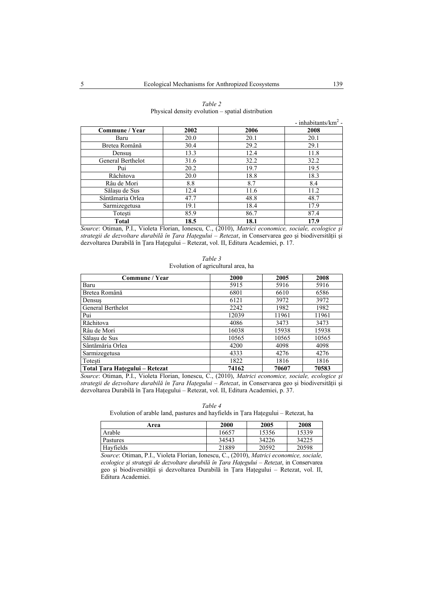|                   |      |           | - inhabitants/ $km^2$ - |
|-------------------|------|-----------|-------------------------|
| Commune / Year    | 2002 | 2006      | 2008                    |
| Baru              | 20.0 | 20.1      | 20.1                    |
| Bretea Română     | 30.4 | 29.2      | 29.1                    |
| Densus            | 13.3 | 12.4      | 11.8                    |
| General Berthelot | 31.6 | 32.2      | 32.2                    |
| Pui               | 20.2 | 19.7      | 19.5                    |
| Răchitova         | 20.0 | 18.8      | 18.3                    |
| Râu de Mori       | 8.8  | 8.7       | 8.4                     |
| Sălașu de Sus     | 12.4 | 11.6      | 11.2                    |
| Sântămaria Orlea  | 47.7 | 48.8      | 48.7                    |
| Sarmizegetusa     | 19.1 | 18.4      | 17.9                    |
| Totesti           | 85.9 | 86.7      | 87.4                    |
| <b>Total</b>      | 18.5 | 18.1<br>. | 17.9                    |

*Table 2*  Physical density evolution – spatial distribution

*Source*: Otiman, P.I., Violeta Florian, Ionescu, C., (2010), *Matrici economice, sociale, ecologice şi strategii de dezvoltare durabilă în Ţara Haţegului – Retezat*, in Conservarea geo şi biodiversităţii şi dezvoltarea Durabilă în Ţara Haţegului – Retezat, vol. II, Editura Academiei, p. 17.

| Table 3                            |
|------------------------------------|
| Evolution of agricultural area, ha |

| Commune / Year                 | 2000  | 2005  | 2008  |
|--------------------------------|-------|-------|-------|
| Baru                           | 5915  | 5916  | 5916  |
| Bretea Română                  | 6801  | 6610  | 6586  |
| Densus                         | 6121  | 3972  | 3972  |
| General Berthelot              | 2242  | 1982  | 1982  |
| Pui                            | 12039 | 11961 | 11961 |
| Răchitova                      | 4086  | 3473  | 3473  |
| Râu de Mori                    | 16038 | 15938 | 15938 |
| Sălașu de Sus                  | 10565 | 10565 | 10565 |
| Sântămăria Orlea               | 4200  | 4098  | 4098  |
| Sarmizegetusa                  | 4333  | 4276  | 4276  |
| Totesti                        | 1822  | 1816  | 1816  |
| Total Tara Hațegului - Retezat | 74162 | 70607 | 70583 |

*Source*: Otiman, P.I., Violeta Florian, Ionescu, C., (2010), *Matrici economice, sociale, ecologice şi strategii de dezvoltare durabilă în Ţara Haţegului – Retezat*, in Conservarea geo şi biodiversităţii şi dezvoltarea Durabilă în Ţara Haţegului – Retezat, vol. II, Editura Academiei, p. 37.

*Table 4*  Evolution of arable land, pastures and hayfields in Ţara Haţegului – Retezat, ha

| Area      | 2000  | 2005  | 2008  |
|-----------|-------|-------|-------|
| Arable    | 16657 | 15356 | 15339 |
| Pastures  | 34543 | 34226 | 34225 |
| Hayfields | 21889 | 20592 | 20598 |

*Source*: Otiman, P.I., Violeta Florian, Ionescu, C., (2010), *Matrici economice, sociale, ecologice şi strategii de dezvoltare durabilă în Ţara Haţegului – Retezat*, in Conservarea geo şi biodiversităţii şi dezvoltarea Durabilă în Ţara Haţegului – Retezat, vol. II, Editura Academiei.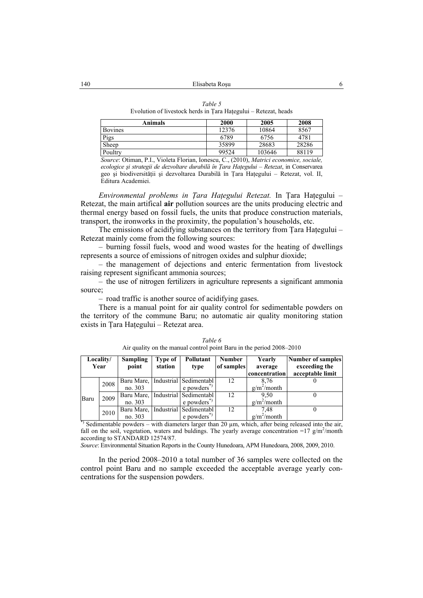Evolution of livestock herds in Ţara Haţegului – Retezat, heads

| Animals        | 2000  | 2005   | 2008  |
|----------------|-------|--------|-------|
| <b>Bovines</b> | 12376 | 10864  | 8567  |
| Pigs           | 6789  | 6756   | 4781  |
| Sheep          | 35899 | 28683  | 28286 |
| Poultry        | 99524 | 103646 | 88119 |

*Source*: Otiman, P.I., Violeta Florian, Ionescu, C., (2010), *Matrici economice, sociale, ecologice şi strategii de dezvoltare durabilă în Ţara Haţegului – Retezat*, in Conservarea geo şi biodiversităţii şi dezvoltarea Durabilă în Ţara Haţegului – Retezat, vol. II, Editura Academiei.

*Environmental problems in Ţara Haţegului Retezat.* In Ţara Haţegului – Retezat, the main artifical **air** pollution sources are the units producing electric and thermal energy based on fossil fuels, the units that produce construction materials, transport, the ironworks in the proximity, the population's households, etc.

The emissions of acidifying substances on the territory from Tara Hategului – Retezat mainly come from the following sources:

– burning fossil fuels, wood and wood wastes for the heating of dwellings represents a source of emissions of nitrogen oxides and sulphur dioxide;

– the management of dejections and enteric fermentation from livestock raising represent significant ammonia sources;

– the use of nitrogen fertilizers in agriculture represents a significant ammonia source;

– road traffic is another source of acidifying gases.

There is a manual point for air quality control for sedimentable powders on the territory of the commune Baru; no automatic air quality monitoring station exists in Tara Hategului – Retezat area.

|                                                                                                                                                                                                                                                                                                                                                                                      | Locality/<br>Year | Sampling<br>point | Type of<br>station | Pollutant<br>type                             | <b>Number</b><br>of samples | Yearly<br>average<br>concentration | Number of samples<br>exceeding the<br>acceptable limit |
|--------------------------------------------------------------------------------------------------------------------------------------------------------------------------------------------------------------------------------------------------------------------------------------------------------------------------------------------------------------------------------------|-------------------|-------------------|--------------------|-----------------------------------------------|-----------------------------|------------------------------------|--------------------------------------------------------|
|                                                                                                                                                                                                                                                                                                                                                                                      | 2008              |                   |                    | Baru Mare, Industrial Sedimentabl             | 12                          | 8.76                               |                                                        |
|                                                                                                                                                                                                                                                                                                                                                                                      |                   | no. 303           |                    | $e$ powders <sup><math>\sigma</math></sup>    |                             | $g/m^2$ /month                     |                                                        |
| Baru                                                                                                                                                                                                                                                                                                                                                                                 | 2009              | Baru Mare,        |                    | Industrial Sedimentabl                        | 12                          | 9.50                               |                                                        |
|                                                                                                                                                                                                                                                                                                                                                                                      |                   | no. 303           |                    | $e$ powders <sup><math>\sigma</math></sup>    |                             | $g/m^2$ /month                     |                                                        |
|                                                                                                                                                                                                                                                                                                                                                                                      | 2010              | Baru Mare,        |                    | Industrial Sedimentabl                        | 12                          | 7.48                               |                                                        |
| $\overline{a}$ $\overline{b}$ $\overline{a}$ $\overline{b}$ $\overline{c}$ $\overline{c}$ $\overline{c}$ $\overline{c}$ $\overline{c}$ $\overline{c}$ $\overline{c}$ $\overline{c}$ $\overline{c}$ $\overline{c}$ $\overline{c}$ $\overline{c}$ $\overline{c}$ $\overline{c}$ $\overline{c}$ $\overline{c}$ $\overline{c}$ $\overline{c}$ $\overline{c}$ $\overline{c}$ $\overline{$ |                   | no. 303           |                    | $e$ powders <sup><math>\tilde{e}</math></sup> |                             | $g/m^2$ /month                     |                                                        |

*Table 6*  Air quality on the manual control point Baru in the period 2008–2010

 $\gamma$  Sedimentable powders – with diameters larger than 20  $\mu$ m, which, after being released into the air, fall on the soil, vegetation, waters and buldings. The yearly average concentration =17  $g/m^2$ /month according to STANDARD 12574/87.

*Source*: Environmental Situation Reports in the County Hunedoara, APM Hunedoara, 2008, 2009, 2010.

In the period 2008–2010 a total number of 36 samples were collected on the control point Baru and no sample exceeded the acceptable average yearly concentrations for the suspension powders.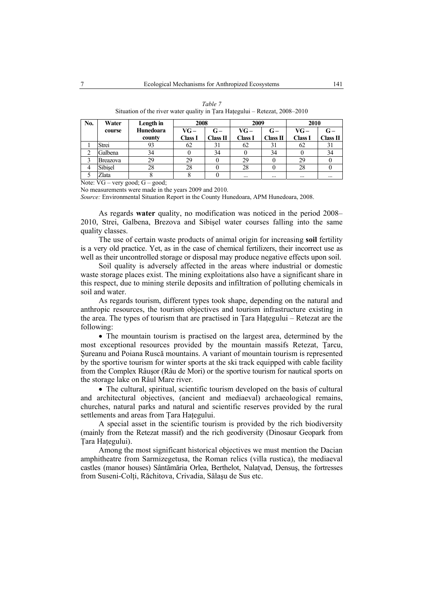| No. | Water    | Length in | 2008    |          | 2009     |          | 2010           |          |
|-----|----------|-----------|---------|----------|----------|----------|----------------|----------|
|     | course   | Hunedoara | VG-     | $G -$    | VG-      | $G -$    | VG-            | $G -$    |
|     |          | county    | Class I | Class II | Class I  | Class II | <b>Class I</b> | Class II |
|     | Strei    | 93        | 62      | 31       | 62       | 31       | 62             | 31       |
|     | Galbena  | 34        |         | 34       |          | 34       |                | 34       |
|     | Breazova | 29        | 29      |          | 29       |          | 29             |          |
| 4   | Sibisel  | 28        | 28      |          | 28       |          | 28             |          |
|     | Zlata    |           |         |          | $\cdots$ | $\cdots$ | $\cdots$       | $\cdots$ |

*Table 7*  Situation of the river water quality in Ţara Haţegului – Retezat, 2008–2010

Note: VG – very good; G – good;

No measurements were made in the years 2009 and 2010.

*Source:* Environmental Situation Report in the County Hunedoara, APM Hunedoara, 2008.

As regards **water** quality, no modification was noticed in the period 2008– 2010, Strei, Galbena, Brezova and Sibişel water courses falling into the same quality classes.

The use of certain waste products of animal origin for increasing **soil** fertility is a very old practice. Yet, as in the case of chemical fertilizers, their incorrect use as well as their uncontrolled storage or disposal may produce negative effects upon soil.

Soil quality is adversely affected in the areas where industrial or domestic waste storage places exist. The mining exploitations also have a significant share in this respect, due to mining sterile deposits and infiltration of polluting chemicals in soil and water.

As regards tourism, different types took shape, depending on the natural and anthropic resources, the tourism objectives and tourism infrastructure existing in the area. The types of tourism that are practised in Ţara Haţegului – Retezat are the following:

• The mountain tourism is practised on the largest area, determined by the most exceptional resources provided by the mountain massifs Retezat, Ţarcu, Şureanu and Poiana Ruscă mountains. A variant of mountain tourism is represented by the sportive tourism for winter sports at the ski track equipped with cable facility from the Complex Râuşor (Râu de Mori) or the sportive tourism for nautical sports on the storage lake on Râul Mare river.

• The cultural, spiritual, scientific tourism developed on the basis of cultural and architectural objectives, (ancient and mediaeval) archaeological remains, churches, natural parks and natural and scientific reserves provided by the rural settlements and areas from Ţara Haţegului.

A special asset in the scientific tourism is provided by the rich biodiversity (mainly from the Retezat massif) and the rich geodiversity (Dinosaur Geopark from Tara Hategului).

Among the most significant historical objectives we must mention the Dacian amphitheatre from Sarmizegetusa, the Roman relics (villa rustica), the mediaeval castles (manor houses) Sântămăria Orlea, Berthelot, Nalaţvad, Densuş, the fortresses from Suseni-Colti, Răchitova, Crivadia, Sălasu de Sus etc.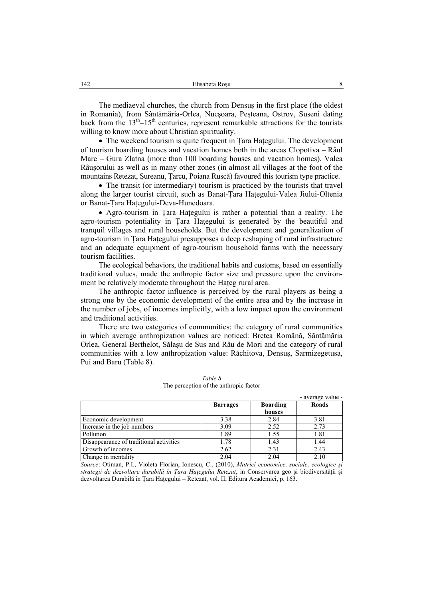The mediaeval churches, the church from Densuş in the first place (the oldest in Romania), from Sântămăria-Orlea, Nucşoara, Peşteana, Ostrov, Suseni dating back from the  $13<sup>th</sup>-15<sup>th</sup>$  centuries, represent remarkable attractions for the tourists willing to know more about Christian spirituality.

• The weekend tourism is quite frequent in Tara Hategului. The development of tourism boarding houses and vacation homes both in the areas Clopotiva – Râul Mare – Gura Zlatna (more than 100 boarding houses and vacation homes), Valea Râuşorului as well as in many other zones (in almost all villages at the foot of the mountains Retezat, Şureanu, Ţarcu, Poiana Ruscă) favoured this tourism type practice.

• The transit (or intermediary) tourism is practiced by the tourists that travel along the larger tourist circuit, such as Banat-Ţara Haţegului-Valea Jiului-Oltenia or Banat-Ţara Haţegului-Deva-Hunedoara.

• Agro-tourism in Tara Hategului is rather a potential than a reality. The agro-tourism potentiality in Tara Hategului is generated by the beautiful and tranquil villages and rural households. But the development and generalization of agro-tourism in Tara Hategului presupposes a deep reshaping of rural infrastructure and an adequate equipment of agro-tourism household farms with the necessary tourism facilities.

The ecological behaviors, the traditional habits and customs, based on essentially traditional values, made the anthropic factor size and pressure upon the environment be relatively moderate throughout the Haţeg rural area.

The anthropic factor influence is perceived by the rural players as being a strong one by the economic development of the entire area and by the increase in the number of jobs, of incomes implicitly, with a low impact upon the environment and traditional activities.

There are two categories of communities: the category of rural communities in which average anthropization values are noticed: Bretea Română, Săntămăria Orlea, General Berthelot, Sălaşu de Sus and Râu de Mori and the category of rural communities with a low anthropization value: Răchitova, Densuş, Sarmizegetusa, Pui and Baru (Table 8).

|                                         | <b>Barrages</b> | <b>Boarding</b><br>houses | Roads |
|-----------------------------------------|-----------------|---------------------------|-------|
| Economic development                    | 3.38            | 2.84                      | 3.81  |
| Increase in the job numbers             | 3.09            | 2.52                      | 2.73  |
| Pollution                               | 1.89            | 1.55                      | 1.81  |
| Disappearance of traditional activities | 1.78            | 1.43                      | 1.44  |
| Growth of incomes                       | 2.62            | 2.31                      | 2.43  |
| Change in mentality                     | 2.04            | 2.04                      | 2.10  |

*Table 8*  The perception of the anthropic factor

*Source*: Otiman, P.I., Violeta Florian, Ionescu, C., (2010), *Matrici economice, sociale, ecologice şi strategii de dezvoltare durabilă în Ţara Haţegului Retezat*, in Conservarea geo şi biodiversităţii şi dezvoltarea Durabilă în Tara Hategului – Retezat, vol. II, Editura Academiei, p. 163.

- average value -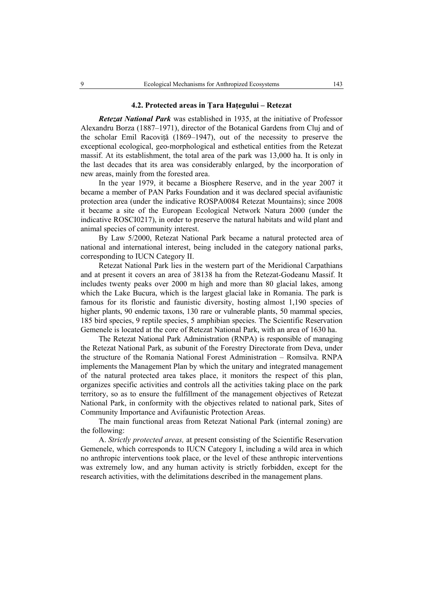## **4.2. Protected areas in Ţara Haţegului – Retezat**

*Retezat National Park* was established in 1935, at the initiative of Professor Alexandru Borza (1887–1971), director of the Botanical Gardens from Cluj and of the scholar Emil Racovită (1869–1947), out of the necessity to preserve the exceptional ecological, geo-morphological and esthetical entities from the Retezat massif. At its establishment, the total area of the park was 13,000 ha. It is only in the last decades that its area was considerably enlarged, by the incorporation of new areas, mainly from the forested area.

In the year 1979, it became a Biosphere Reserve, and in the year 2007 it became a member of PAN Parks Foundation and it was declared special avifaunistic protection area (under the indicative ROSPA0084 Retezat Mountains); since 2008 it became a site of the European Ecological Network Natura 2000 (under the indicative ROSCI0217), in order to preserve the natural habitats and wild plant and animal species of community interest.

By Law 5/2000, Retezat National Park became a natural protected area of national and international interest, being included in the category national parks, corresponding to IUCN Category II.

Retezat National Park lies in the western part of the Meridional Carpathians and at present it covers an area of 38138 ha from the Retezat-Godeanu Massif. It includes twenty peaks over 2000 m high and more than 80 glacial lakes, among which the Lake Bucura, which is the largest glacial lake in Romania. The park is famous for its floristic and faunistic diversity, hosting almost 1,190 species of higher plants, 90 endemic taxons, 130 rare or vulnerable plants, 50 mammal species, 185 bird species, 9 reptile species, 5 amphibian species. The Scientific Reservation Gemenele is located at the core of Retezat National Park, with an area of 1630 ha.

The Retezat National Park Administration (RNPA) is responsible of managing the Retezat National Park, as subunit of the Forestry Directorate from Deva, under the structure of the Romania National Forest Administration – Romsilva. RNPA implements the Management Plan by which the unitary and integrated management of the natural protected area takes place, it monitors the respect of this plan, organizes specific activities and controls all the activities taking place on the park territory, so as to ensure the fulfillment of the management objectives of Retezat National Park, in conformity with the objectives related to national park, Sites of Community Importance and Avifaunistic Protection Areas.

The main functional areas from Retezat National Park (internal zoning) are the following:

A. *Strictly protected areas,* at present consisting of the Scientific Reservation Gemenele, which corresponds to IUCN Category I, including a wild area in which no anthropic interventions took place, or the level of these anthropic interventions was extremely low, and any human activity is strictly forbidden, except for the research activities, with the delimitations described in the management plans.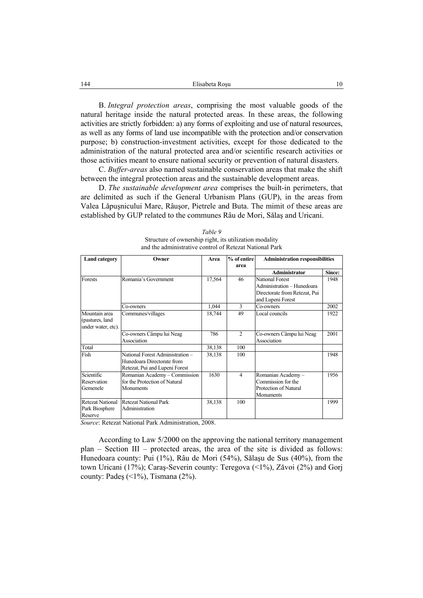B. *Integral protection areas*, comprising the most valuable goods of the natural heritage inside the natural protected areas. In these areas, the following activities are strictly forbidden: a) any forms of exploiting and use of natural resources, as well as any forms of land use incompatible with the protection and/or conservation purpose; b) construction-investment activities, except for those dedicated to the administration of the natural protected area and/or scientific research activities or those activities meant to ensure national security or prevention of natural disasters.

C. *Buffer-areas* also named sustainable conservation areas that make the shift between the integral protection areas and the sustainable development areas.

D. *The sustainable development area* comprises the built-in perimeters, that are delimited as such if the General Urbanism Plans (GUP), in the areas from Valea Lăpuşnicului Mare, Râuşor, Pietrele and Buta. The mimit of these areas are established by GUP related to the communes Râu de Mori, Sălaş and Uricani.

| <b>Land category</b>                                    | Owner                                                                                            | Area   | % of entire<br>area | <b>Administration responsibilities</b>                                                                     |        |
|---------------------------------------------------------|--------------------------------------------------------------------------------------------------|--------|---------------------|------------------------------------------------------------------------------------------------------------|--------|
|                                                         |                                                                                                  |        |                     | <b>Administrator</b>                                                                                       | Since: |
| Forests                                                 | Romania's Government                                                                             | 17,564 | 46                  | <b>National Forest</b><br>Administration - Hunedoara<br>Directorate from Retezat, Pui<br>and Lupeni Forest | 1948   |
|                                                         | Co-owners                                                                                        | 1,044  | 3                   | Co-owners                                                                                                  | 2002   |
| Mountain area<br>(pastures, land)<br>under water, etc). | Communes/villages                                                                                | 18,744 | 49                  | Local councils                                                                                             | 1922   |
|                                                         | Co-owners Câmpu lui Neag<br>Association                                                          | 786    | 2                   | Co-owners Câmpu lui Neag<br>Association                                                                    | 2001   |
| Total                                                   |                                                                                                  | 38,138 | 100                 |                                                                                                            |        |
| Fish                                                    | National Forest Administration -<br>Hunedoara Directorate from<br>Retezat, Pui and Lupeni Forest | 38,138 | 100                 |                                                                                                            | 1948   |
| Scientific<br>Reservation<br>Gemenele                   | Romanian Academy - Commission<br>for the Protection of Natural<br>Monuments                      | 1630   | $\overline{4}$      | Romanian Academy-<br>Commission for the<br>Protection of Natural<br>Monuments                              | 1956   |
| <b>Retezat National</b><br>Park Biosphere<br>Reserve    | <b>Retezat National Park</b><br>Administration                                                   | 38,138 | 100                 |                                                                                                            | 1999   |

*Table 9*  Structure of ownership right, its utilization modality and the administrative control of Retezat National Park

*Source*: Retezat National Park Administration, 2008.

According to Law 5/2000 on the approving the national territory management plan – Section III – protected areas, the area of the site is divided as follows: Hunedoara county: Pui (1%), Râu de Mori (54%), Sălaşu de Sus (40%), from the town Uricani (17%); Caraş-Severin county: Teregova (<1%), Zăvoi (2%) and Gorj county: Pades  $(\leq 1\%)$ , Tismana  $(2\%)$ .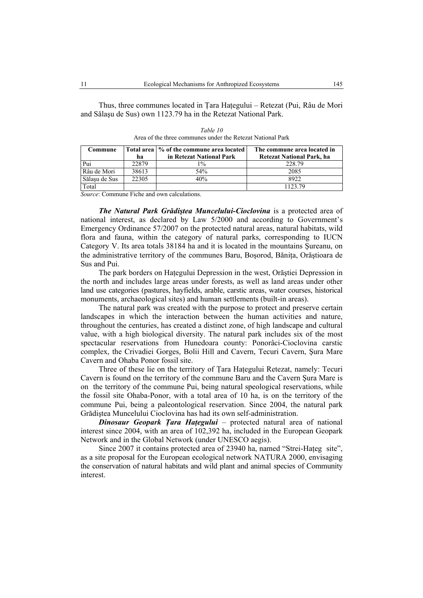Thus, three communes located in Ţara Haţegului – Retezat (Pui, Râu de Mori and Sălaşu de Sus) own 1123.79 ha in the Retezat National Park.

| Commune       |       | Total area   % of the commune area located | The commune area located in |
|---------------|-------|--------------------------------------------|-----------------------------|
|               | ha    | in Retezat National Park                   | Retezat National Park, ha   |
| Pui           | 22879 | $1\%$                                      | 228.79                      |
| Râu de Mori   | 38613 | 54%                                        | 2085                        |
| Sălasu de Sus | 22305 | 40%                                        | 8922                        |
| Total         |       |                                            | 1123.79                     |

*Table 10*  Area of the three communes under the Retezat National Park

*Source*: Commune Fiche and own calculations.

*The Natural Park Grădiştea Muncelului-Cioclovina* is a protected area of national interest, as declared by Law 5/2000 and according to Government's Emergency Ordinance 57/2007 on the protected natural areas, natural habitats, wild flora and fauna, within the category of natural parks, corresponding to IUCN Category V. Its area totals 38184 ha and it is located in the mountains Şureanu, on the administrative territory of the communes Baru, Bosorod, Bănita, Orăștioara de Sus and Pui.

The park borders on Haţegului Depression in the west, Orăştiei Depression in the north and includes large areas under forests, as well as land areas under other land use categories (pastures, hayfields, arable, carstic areas, water courses, historical monuments, archaeological sites) and human settlements (built-in areas).

The natural park was created with the purpose to protect and preserve certain landscapes in which the interaction between the human activities and nature, throughout the centuries, has created a distinct zone, of high landscape and cultural value, with a high biological diversity. The natural park includes six of the most spectacular reservations from Hunedoara county: Ponorâci-Cioclovina carstic complex, the Crivadiei Gorges, Bolii Hill and Cavern, Tecuri Cavern, Şura Mare Cavern and Ohaba Ponor fossil site.

Three of these lie on the territory of Tara Hategului Retezat, namely: Tecuri Cavern is found on the territory of the commune Baru and the Cavern Şura Mare is on the territory of the commune Pui, being natural speological reservations, while the fossil site Ohaba-Ponor, with a total area of 10 ha, is on the territory of the commune Pui, being a paleontological reservation. Since 2004, the natural park Grădiştea Muncelului Cioclovina has had its own self-administration.

*Dinosaur Geopark Ţara Haţegului* – protected natural area of national interest since 2004, with an area of 102,392 ha, included in the European Geopark Network and in the Global Network (under UNESCO aegis).

Since 2007 it contains protected area of 23940 ha, named "Strei-Hateg site", as a site proposal for the European ecological network NATURA 2000, envisaging the conservation of natural habitats and wild plant and animal species of Community interest.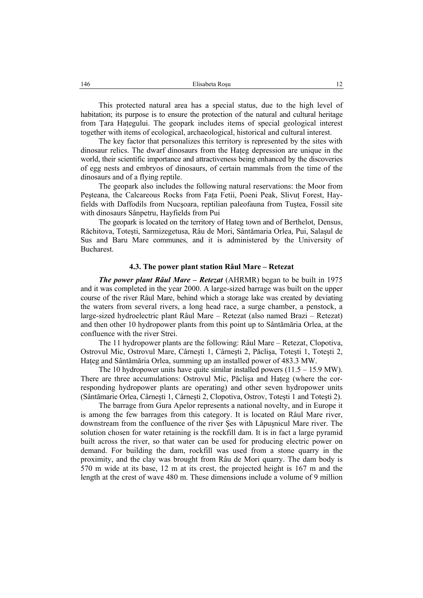This protected natural area has a special status, due to the high level of habitation; its purpose is to ensure the protection of the natural and cultural heritage from Tara Hategului. The geopark includes items of special geological interest together with items of ecological, archaeological, historical and cultural interest.

The key factor that personalizes this territory is represented by the sites with dinosaur relics. The dwarf dinosaurs from the Haţeg depression are unique in the world, their scientific importance and attractiveness being enhanced by the discoveries of egg nests and embryos of dinosaurs, of certain mammals from the time of the dinosaurs and of a flying reptile.

The geopark also includes the following natural reservations: the Moor from Pesteana, the Calcareous Rocks from Fata Fetii, Poeni Peak, Slivut Forest, Hayfields with Daffodils from Nucşoara, reptilian paleofauna from Tuştea, Fossil site with dinosaurs Sânpetru, Hayfields from Pui

The geopark is located on the territory of Hateg town and of Berthelot, Densus, Răchitova, Toteşti, Sarmizegetusa, Râu de Mori, Sântămaria Orlea, Pui, Salaşul de Sus and Baru Mare communes, and it is administered by the University of Bucharest.

#### **4.3. The power plant station Râul Mare – Retezat**

*The power plant Râul Mare – Retezat* (AHRMR) began to be built in 1975 and it was completed in the year 2000. A large-sized barrage was built on the upper course of the river Râul Mare, behind which a storage lake was created by deviating the waters from several rivers, a long head race, a surge chamber, a penstock, a large-sized hydroelectric plant Râul Mare – Retezat (also named Brazi – Retezat) and then other 10 hydropower plants from this point up to Sântămăria Orlea, at the confluence with the river Strei.

The 11 hydropower plants are the following: Râul Mare – Retezat, Clopotiva, Ostrovul Mic, Ostrovul Mare, Cârneşti 1, Cârneşti 2, Păclişa, Toteşti 1, Toteşti 2, Haţeg and Sântămăria Orlea, summing up an installed power of 483.3 MW.

The 10 hydropower units have quite similar installed powers  $(11.5 - 15.9 \text{ MW})$ . There are three accumulations: Ostrovul Mic, Păclisa and Hateg (where the corresponding hydropower plants are operating) and other seven hydropower units (Sântămarie Orlea, Cârneşti 1, Cârneşti 2, Clopotiva, Ostrov, Toteşti 1 and Toteşti 2).

The barrage from Gura Apelor represents a national novelty, and in Europe it is among the few barrages from this category. It is located on Râul Mare river, downstream from the confluence of the river Şes with Lăpuşnicul Mare river. The solution chosen for water retaining is the rockfill dam. It is in fact a large pyramid built across the river, so that water can be used for producing electric power on demand. For building the dam, rockfill was used from a stone quarry in the proximity, and the clay was brought from Râu de Mori quarry. The dam body is 570 m wide at its base, 12 m at its crest, the projected height is 167 m and the length at the crest of wave 480 m. These dimensions include a volume of 9 million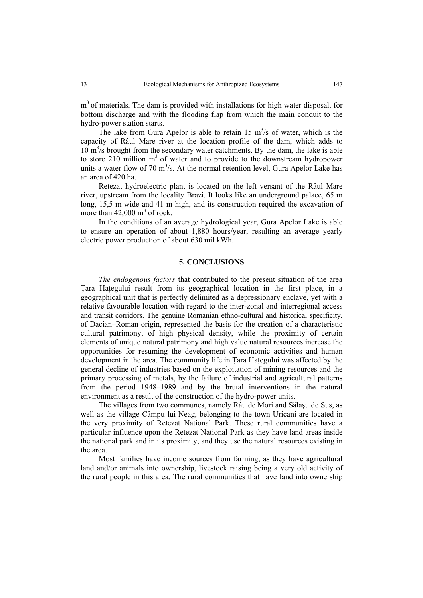$m<sup>3</sup>$  of materials. The dam is provided with installations for high water disposal, for bottom discharge and with the flooding flap from which the main conduit to the hydro-power station starts.

The lake from Gura Apelor is able to retain  $15 \text{ m}^3/\text{s}$  of water, which is the capacity of Râul Mare river at the location profile of the dam, which adds to  $10 \text{ m}^3$ /s brought from the secondary water catchments. By the dam, the lake is able to store 210 million  $m<sup>3</sup>$  of water and to provide to the downstream hydropower units a water flow of 70  $m^3/s$ . At the normal retention level, Gura Apelor Lake has an area of 420 ha.

Retezat hydroelectric plant is located on the left versant of the Râul Mare river, upstream from the locality Brazi. It looks like an underground palace, 65 m long, 15,5 m wide and 41 m high, and its construction required the excavation of more than  $42,000 \text{ m}^3$  of rock.

In the conditions of an average hydrological year, Gura Apelor Lake is able to ensure an operation of about 1,880 hours/year, resulting an average yearly electric power production of about 630 mil kWh.

# **5. CONCLUSIONS**

*The endogenous factors* that contributed to the present situation of the area Ţara Haţegului result from its geographical location in the first place, in a geographical unit that is perfectly delimited as a depressionary enclave, yet with a relative favourable location with regard to the inter-zonal and interregional access and transit corridors. The genuine Romanian ethno-cultural and historical specificity, of Dacian–Roman origin, represented the basis for the creation of a characteristic cultural patrimony, of high physical density, while the proximity of certain elements of unique natural patrimony and high value natural resources increase the opportunities for resuming the development of economic activities and human development in the area. The community life in Ţara Haţegului was affected by the general decline of industries based on the exploitation of mining resources and the primary processing of metals, by the failure of industrial and agricultural patterns from the period 1948–1989 and by the brutal interventions in the natural environment as a result of the construction of the hydro-power units.

The villages from two communes, namely Râu de Mori and Sălaşu de Sus, as well as the village Câmpu lui Neag, belonging to the town Uricani are located in the very proximity of Retezat National Park. These rural communities have a particular influence upon the Retezat National Park as they have land areas inside the national park and in its proximity, and they use the natural resources existing in the area.

Most families have income sources from farming, as they have agricultural land and/or animals into ownership, livestock raising being a very old activity of the rural people in this area. The rural communities that have land into ownership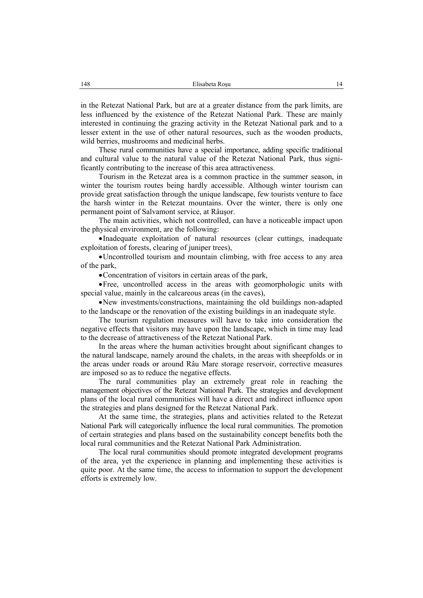in the Retezat National Park, but are at a greater distance from the park limits, are less influenced by the existence of the Retezat National Park. These are mainly interested in continuing the grazing activity in the Retezat National park and to a lesser extent in the use of other natural resources, such as the wooden products, wild berries, mushrooms and medicinal herbs.

These rural communities have a special importance, adding specific traditional and cultural value to the natural value of the Retezat National Park, thus significantly contributing to the increase of this area attractiveness.

Tourism in the Retezat area is a common practice in the summer season, in winter the tourism routes being hardly accessible. Although winter tourism can provide great satisfaction through the unique landscape, few tourists venture to face the harsh winter in the Retezat mountains. Over the winter, there is only one permanent point of Salvamont service, at Râuşor.

The main activities, which not controlled, can have a noticeable impact upon the physical environment, are the following:

•Inadequate exploitation of natural resources (clear cuttings, inadequate exploitation of forests, clearing of juniper trees),

•Uncontrolled tourism and mountain climbing, with free access to any area of the park,

•Concentration of visitors in certain areas of the park,

•Free, uncontrolled access in the areas with geomorphologic units with special value, mainly in the calcareous areas (in the caves),

•New investments/constructions, maintaining the old buildings non-adapted to the landscape or the renovation of the existing buildings in an inadequate style.

The tourism regulation measures will have to take into consideration the negative effects that visitors may have upon the landscape, which in time may lead to the decrease of attractiveness of the Retezat National Park.

In the areas where the human activities brought about significant changes to the natural landscape, namely around the chalets, in the areas with sheepfolds or in the areas under roads or around Râu Mare storage reservoir, corrective measures are imposed so as to reduce the negative effects.

The rural communities play an extremely great role in reaching the management objectives of the Retezat National Park. The strategies and development plans of the local rural communities will have a direct and indirect influence upon the strategies and plans designed for the Retezat National Park.

At the same time, the strategies, plans and activities related to the Retezat National Park will categorically influence the local rural communities. The promotion of certain strategies and plans based on the sustainability concept benefits both the local rural communities and the Retezat National Park Administration.

The local rural communities should promote integrated development programs of the area, yet the experience in planning and implementing these activities is quite poor. At the same time, the access to information to support the development efforts is extremely low.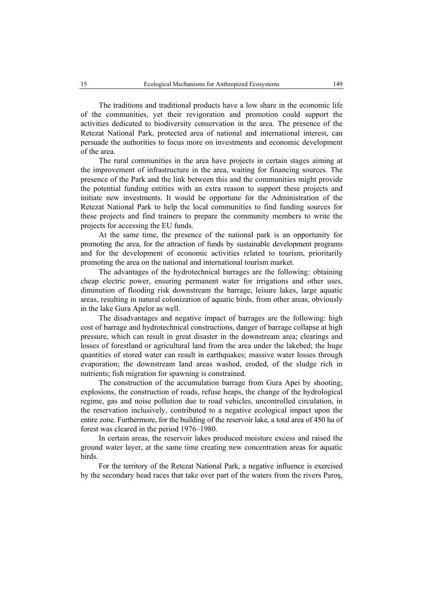The traditions and traditional products have a low share in the economic life of the communities, yet their revigoration and promotion could support the activities dedicated to biodiversity conservation in the area. The presence of the Retezat National Park, protected area of national and international interest, can persuade the authorities to focus more on investments and economic development of the area.

The rural communities in the area have projects in certain stages aiming at the improvement of infrastructure in the area, waiting for financing sources. The presence of the Park and the link between this and the communities might provide the potential funding entities with an extra reason to support these projects and initiate new investments. It would be opportune for the Administration of the Retezat National Park to help the local communities to find funding sources for these projects and find trainers to prepare the community members to write the projects for accessing the EU funds.

At the same time, the presence of the national park is an opportunity for promoting the area, for the attraction of funds by sustainable development programs and for the development of economic activities related to tourism, prioritarily promoting the area on the national and international tourism market.

The advantages of the hydrotechnical barrages are the following: obtaining cheap electric power, ensuring permanent water for irrigations and other uses, diminution of flooding risk downstream the barrage, leisure lakes, large aquatic areas, resulting in natural colonization of aquatic birds, from other areas, obviously in the lake Gura Apelor as well.

The disadvantages and negative impact of barrages are the following: high cost of barrage and hydrotechnical constructions, danger of barrage collapse at high pressure, which can result in great disaster in the downstream area; clearings and losses of forestland or agricultural land from the area under the lakebed; the huge quantities of stored water can result in earthquakes; massive water losses through evaporation; the downstream land areas washed, eroded, of the sludge rich in nutrients; fish migration for spawning is constrained.

The construction of the accumulation barrage from Gura Apei by shooting, explosions, the construction of roads, refuse heaps, the change of the hydrological regime, gas and noise pollution due to road vehicles, uncontrolled circulation, in the reservation inclusively, contributed to a negative ecological impact upon the entire zone. Furthermore, for the building of the reservoir lake, a total area of 450 ha of forest was cleared in the period 1976–1980.

In certain areas, the reservoir lakes produced moisture excess and raised the ground water layer, at the same time creating new concentration areas for aquatic **birds** 

For the territory of the Retezat National Park, a negative influence is exercised by the secondary head races that take over part of the waters from the rivers Paroş,